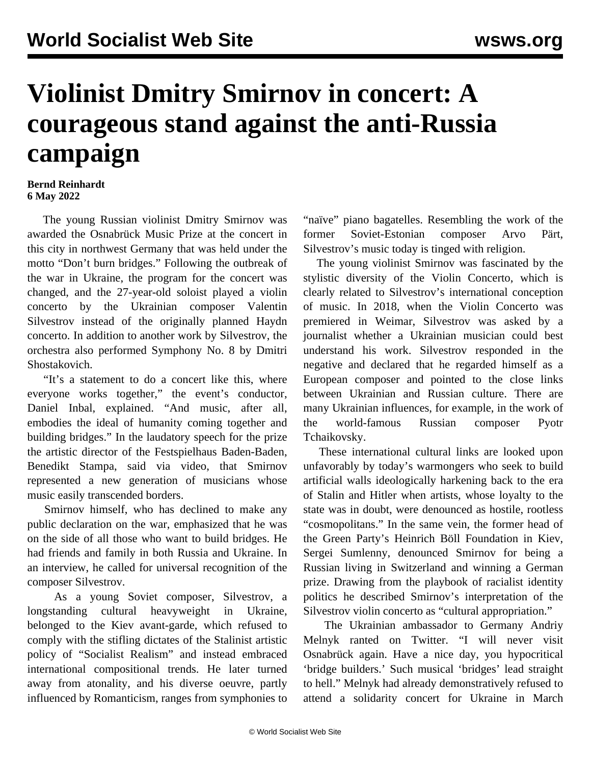## **Violinist Dmitry Smirnov in concert: A courageous stand against the anti-Russia campaign**

## **Bernd Reinhardt 6 May 2022**

 The young Russian violinist Dmitry Smirnov was awarded the Osnabrück Music Prize at the concert in this city in northwest Germany that was held under the motto "Don't burn bridges." Following the outbreak of the war in Ukraine, the program for the concert was changed, and the 27-year-old soloist played a violin concerto by the Ukrainian composer Valentin Silvestrov instead of the originally planned Haydn concerto. In addition to another work by Silvestrov, the orchestra also performed Symphony No. 8 by Dmitri Shostakovich.

 "It's a statement to do a concert like this, where everyone works together," the event's conductor, Daniel Inbal, explained. "And music, after all, embodies the ideal of humanity coming together and building bridges." In the laudatory speech for the prize the artistic director of the Festspielhaus Baden-Baden, Benedikt Stampa, said via video, that Smirnov represented a new generation of musicians whose music easily transcended borders.

 Smirnov himself, who has declined to make any public declaration on the war, emphasized that he was on the side of all those who want to build bridges. He had friends and family in both Russia and Ukraine. In an interview, he called for universal recognition of the composer Silvestrov.

 As a young Soviet composer, Silvestrov, a longstanding cultural heavyweight in Ukraine, belonged to the Kiev avant-garde, which refused to comply with the stifling dictates of the Stalinist artistic policy of "Socialist Realism" and instead embraced international compositional trends. He later turned away from atonality, and his diverse oeuvre, partly influenced by Romanticism, ranges from symphonies to

"naïve" piano bagatelles. Resembling the work of the former Soviet-Estonian composer Arvo Pärt, Silvestrov's music today is tinged with religion.

 The young violinist Smirnov was fascinated by the stylistic diversity of the Violin Concerto, which is clearly related to Silvestrov's international conception of music. In 2018, when the Violin Concerto was premiered in Weimar, Silvestrov was asked by a journalist whether a Ukrainian musician could best understand his work. Silvestrov responded in the negative and declared that he regarded himself as a European composer and pointed to the close links between Ukrainian and Russian culture. There are many Ukrainian influences, for example, in the work of the world-famous Russian composer Pyotr Tchaikovsky.

 These international cultural links are looked upon unfavorably by today's warmongers who seek to build artificial walls ideologically harkening back to the era of Stalin and Hitler when artists, whose loyalty to the state was in doubt, were denounced as hostile, rootless "cosmopolitans." In the same vein, the former head of the Green Party's Heinrich Böll Foundation in Kiev, Sergei Sumlenny, denounced Smirnov for being a Russian living in Switzerland and winning a German prize. Drawing from the playbook of racialist identity politics he described Smirnov's interpretation of the Silvestrov violin concerto as "cultural appropriation."

 The Ukrainian ambassador to Germany Andriy Melnyk ranted on Twitter. "I will never visit Osnabrück again. Have a nice day, you hypocritical 'bridge builders.' Such musical 'bridges' lead straight to hell." Melnyk had already demonstratively refused to attend a solidarity concert for Ukraine in March